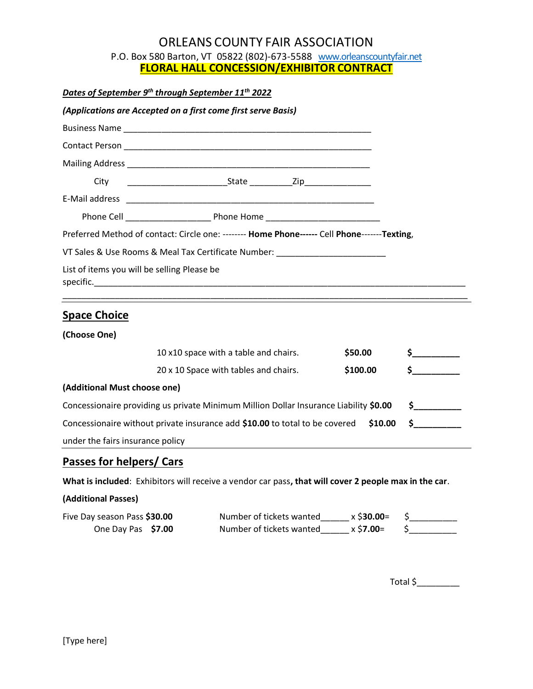# ORLEANS COUNTY FAIR ASSOCIATION

P.O. Box 580 Barton, VT 05822 (802)-673-5588 [www.orleanscountyfair.net](about:blank) **FLORAL HALL CONCESSION/EXHIBITOR CONTRACT**

*Dates of September 9th through September 11th 2022*

|                                             | (Applications are Accepted on a first come first serve Basis)                                |  |
|---------------------------------------------|----------------------------------------------------------------------------------------------|--|
|                                             |                                                                                              |  |
|                                             |                                                                                              |  |
|                                             |                                                                                              |  |
|                                             |                                                                                              |  |
|                                             |                                                                                              |  |
|                                             |                                                                                              |  |
|                                             | Preferred Method of contact: Circle one: -------- Home Phone------ Cell Phone-------Texting, |  |
|                                             | VT Sales & Use Rooms & Meal Tax Certificate Number: ____________________________             |  |
| List of items you will be selling Please be |                                                                                              |  |
|                                             |                                                                                              |  |

## **Space Choice**

**(Choose One)**

|                                                                                       | 10 x10 space with a table and chairs. | \$50.00  |  |
|---------------------------------------------------------------------------------------|---------------------------------------|----------|--|
|                                                                                       | 20 x 10 Space with tables and chairs. | \$100.00 |  |
| (Additional Must choose one)                                                          |                                       |          |  |
| Concessionaire providing us private Minimum Million Dollar Insurance Liability \$0.00 |                                       |          |  |
| Concessionaire without private insurance add \$10.00 to total to be covered           |                                       |          |  |
| under the fairs insurance policy                                                      |                                       |          |  |

# **Passes for helpers/ Cars**

**What is included**: Exhibitors will receive a vendor car pass**, that will cover 2 people max in the car**.

#### **(Additional Passes)**

| Five Day season Pass \$30.00 | Number of tickets wanted | x \$30.00=         |  |
|------------------------------|--------------------------|--------------------|--|
| One Day Pas \$7.00           | Number of tickets wanted | x \$ <b>7.00</b> = |  |

Total  $\frac{\xi_{\text{max}}}{\xi_{\text{max}}}-\frac{\xi_{\text{max}}}{\xi_{\text{max}}}-\frac{\xi_{\text{max}}}{\xi_{\text{max}}}-\frac{\xi_{\text{max}}}{\xi_{\text{max}}}-\frac{\xi_{\text{max}}}{\xi_{\text{max}}}-\frac{\xi_{\text{max}}}{\xi_{\text{max}}}-\frac{\xi_{\text{max}}}{\xi_{\text{max}}}-\frac{\xi_{\text{max}}}{\xi_{\text{max}}}-\frac{\xi_{\text{max}}}{\xi_{\text{max}}}-\frac{\xi_{\text{max}}}{\xi_{\text{max}}}-\frac{\xi_{\text{max}}}{\xi_{$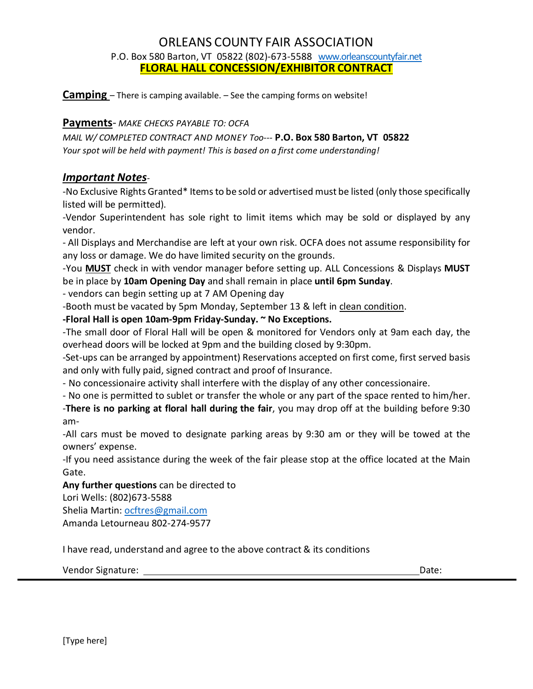# ORLEANS COUNTY FAIR ASSOCIATION P.O. Box 580 Barton, VT 05822 (802)-673-5588 [www.orleanscountyfair.net](about:blank) **FLORAL HALL CONCESSION/EXHIBITOR CONTRACT**

**Camping** – There is camping available. – See the camping forms on website!

#### **Payments**- *MAKE CHECKS PAYABLE TO: OCFA*

*MAIL W/ COMPLETED CONTRACT AND MONEY Too---* **P.O. Box 580 Barton, VT 05822** *Your spot will be held with payment! This is based on a first come understanding!*

### *Important Notes-*

-No Exclusive Rights Granted\* Items to be sold or advertised must be listed (only those specifically listed will be permitted).

-Vendor Superintendent has sole right to limit items which may be sold or displayed by any vendor.

- All Displays and Merchandise are left at your own risk. OCFA does not assume responsibility for any loss or damage. We do have limited security on the grounds.

-You **MUST** check in with vendor manager before setting up. ALL Concessions & Displays **MUST** be in place by **10am Opening Day** and shall remain in place **until 6pm Sunday**.

- vendors can begin setting up at 7 AM Opening day

-Booth must be vacated by 5pm Monday, September 13 & left in clean condition.

**-Floral Hall is open 10am-9pm Friday-Sunday. ~ No Exceptions.**

-The small door of Floral Hall will be open & monitored for Vendors only at 9am each day, the overhead doors will be locked at 9pm and the building closed by 9:30pm.

-Set-ups can be arranged by appointment) Reservations accepted on first come, first served basis and only with fully paid, signed contract and proof of Insurance.

- No concessionaire activity shall interfere with the display of any other concessionaire.

- No one is permitted to sublet or transfer the whole or any part of the space rented to him/her.

-**There is no parking at floral hall during the fair**, you may drop off at the building before 9:30 am-

-All cars must be moved to designate parking areas by 9:30 am or they will be towed at the owners' expense.

-If you need assistance during the week of the fair please stop at the office located at the Main Gate.

**Any further questions** can be directed to

Lori Wells: (802)673-5588

Shelia Martin: [ocftres@gmail.com](about:blank) Amanda Letourneau 802-274-9577

I have read, understand and agree to the above contract & its conditions

Vendor Signature: Date: